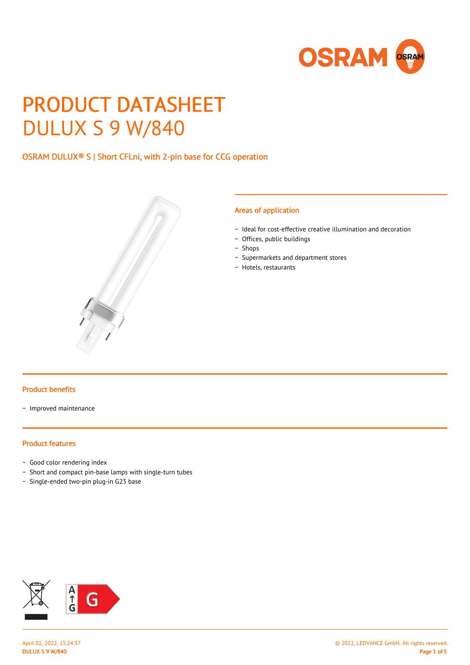

# PRODUCT DATASHEET DULUX S 9 W/840

# OSRAM DULUX® S | Short CFLni, with 2-pin base for CCG operation



#### Areas of application

- − Ideal for cost-effective creative illumination and decoration
- − Offices, public buildings
- − Shops
- − Supermarkets and department stores
- − Hotels, restaurants

#### Product benefits

− Improved maintenance

#### Product features

- − Good color rendering index
- − Short and compact pin-base lamps with single-turn tubes
- − Single-ended two-pin plug-in G23 base

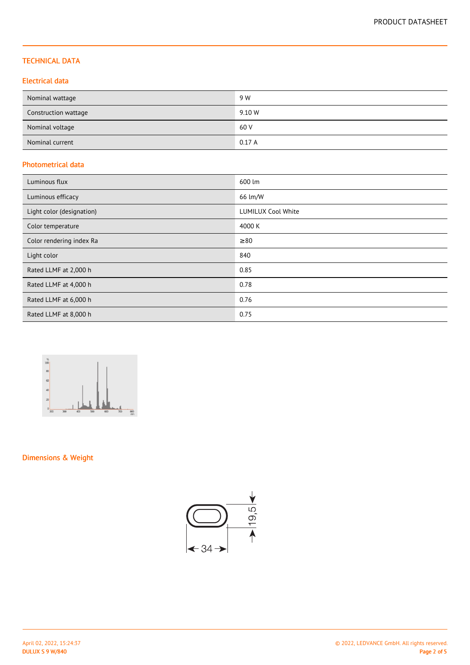## TECHNICAL DATA

## Electrical data

| Nominal wattage      | 9 W    |
|----------------------|--------|
| Construction wattage | 9.10 W |
| Nominal voltage      | 60 V   |
| Nominal current      | 0.17A  |

## Photometrical data

| Luminous flux             | 600 lm                    |
|---------------------------|---------------------------|
| Luminous efficacy         | 66 lm/W                   |
| Light color (designation) | <b>LUMILUX Cool White</b> |
| Color temperature         | 4000 K                    |
| Color rendering index Ra  | $\geq 80$                 |
| Light color               | 840                       |
| Rated LLMF at 2,000 h     | 0.85                      |
| Rated LLMF at 4,000 h     | 0.78                      |
| Rated LLMF at 6,000 h     | 0.76                      |
| Rated LLMF at 8,000 h     | 0.75                      |



# Dimensions & Weight

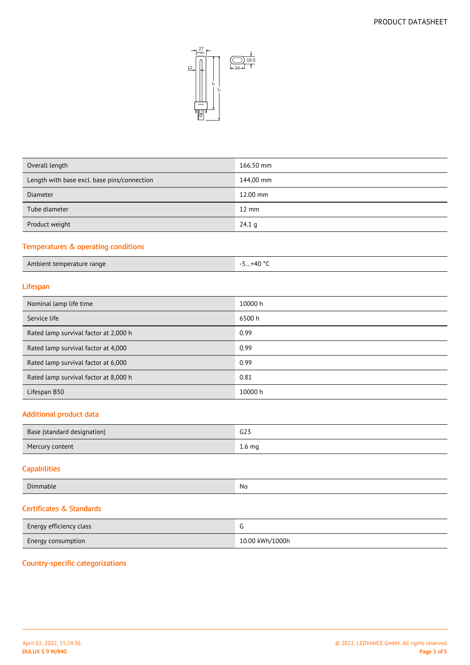

| Overall length                              | 166.50 mm       |
|---------------------------------------------|-----------------|
| Length with base excl. base pins/connection | 144,00 mm       |
| <b>Diameter</b>                             | 12.00 mm        |
| Tube diameter                               | $12 \text{ mm}$ |
| Product weight                              | 24.1 g          |
|                                             |                 |

# Temperatures & operating conditions

| Ambient temperature range | $+40$ °<br><u>.</u> |
|---------------------------|---------------------|

# Lifespan

| Nominal lamp life time                | 10000 h |
|---------------------------------------|---------|
| Service life                          | 6500 h  |
| Rated lamp survival factor at 2,000 h | 0.99    |
| Rated lamp survival factor at 4,000   | 0.99    |
| Rated lamp survival factor at 6,000   | 0.99    |
| Rated lamp survival factor at 8,000 h | 0.81    |
| Lifespan B50                          | 10000 h |

## Additional product data

| Base (standard designation) | G23               |
|-----------------------------|-------------------|
| Mercury content             | 1.6 <sub>mg</sub> |

## **Capabilities**

| -<br>' III. | NO            |
|-------------|---------------|
| _______     | $\sim$ $\sim$ |

# Certificates & Standards

| Energy efficiency class   |                 |
|---------------------------|-----------------|
| <b>Energy consumption</b> | 10.00 kWh/1000h |

## Country-specific categorizations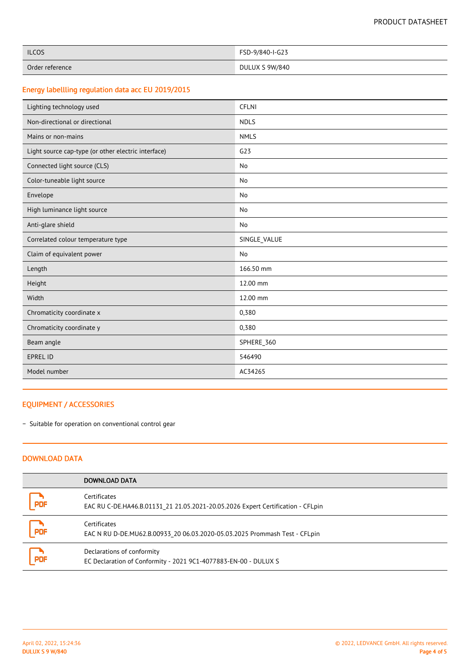| <b>ILCOS</b>    | FSD-9/840-I-G23 |
|-----------------|-----------------|
| Order reference | DULUX S 9W/840  |

# Energy labellling regulation data acc EU 2019/2015

| Lighting technology used                            | <b>CFLNI</b> |
|-----------------------------------------------------|--------------|
| Non-directional or directional                      | <b>NDLS</b>  |
| Mains or non-mains                                  | <b>NMLS</b>  |
| Light source cap-type (or other electric interface) | G23          |
| Connected light source (CLS)                        | No           |
| Color-tuneable light source                         | No           |
| Envelope                                            | No           |
| High luminance light source                         | No           |
| Anti-glare shield                                   | No           |
| Correlated colour temperature type                  | SINGLE_VALUE |
| Claim of equivalent power                           | <b>No</b>    |
| Length                                              | 166.50 mm    |
| Height                                              | 12.00 mm     |
| Width                                               | 12.00 mm     |
| Chromaticity coordinate x                           | 0,380        |
| Chromaticity coordinate y                           | 0,380        |
| Beam angle                                          | SPHERE_360   |
| <b>EPREL ID</b>                                     | 546490       |
| Model number                                        | AC34265      |

## EQUIPMENT / ACCESSORIES

− Suitable for operation on conventional control gear

## DOWNLOAD DATA

|            | DOWNLOAD DATA                                                                                   |
|------------|-------------------------------------------------------------------------------------------------|
| PDF        | Certificates<br>EAC RU C-DE.HA46.B.01131 21 21.05.2021-20.05.2026 Expert Certification - CFLpin |
| <b>PDF</b> | Certificates<br>EAC N RU D-DE.MU62.B.00933 20 06.03.2020-05.03.2025 Prommash Test - CFLpin      |
| PDF        | Declarations of conformity<br>EC Declaration of Conformity - 2021 9C1-4077883-EN-00 - DULUX S   |